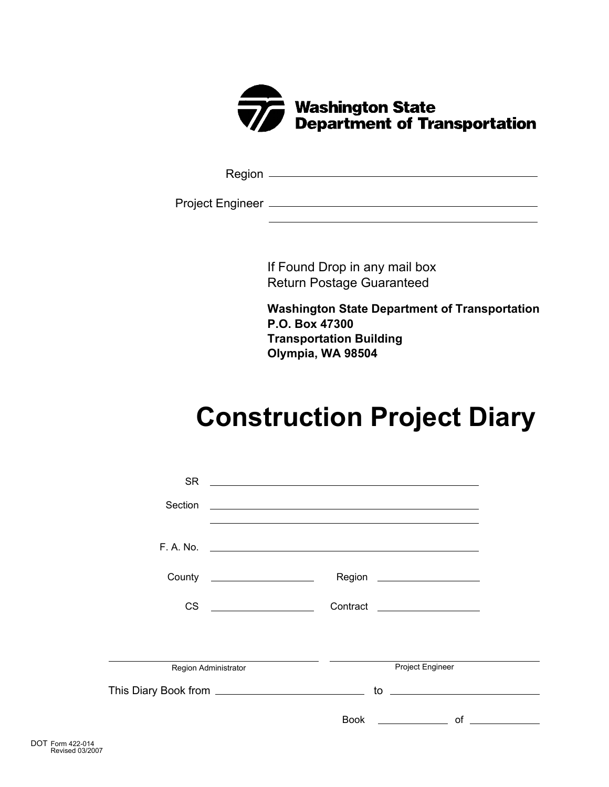

Region

Project Engineer

If Found Drop in any mail box Return Postage Guaranteed

**Washington State Department of Transportation P.O. Box 47300 Transportation Building Olympia, WA 98504**

## **Construction Project Diary**

| <b>SR</b>                    | <u> 1980 - Jan Samuel Barbara, margaret eta idazlearia (h. 1980).</u> |               |
|------------------------------|-----------------------------------------------------------------------|---------------|
| Section                      | <u> 1990 - Johann Stoff, amerikansk politiker (d. 1980)</u>           |               |
|                              | $F. A. No. \t________$                                                |               |
| County _____________________ | Region _____________________                                          |               |
| <b>CS</b>                    | Contract <u>Contract Contract Contract</u>                            |               |
|                              |                                                                       |               |
| Region Administrator         | Project Engineer                                                      |               |
|                              | $\mathsf{to}$ $\hspace{0.1cm}$                                        |               |
|                              | <b>Book Book</b>                                                      | $\mathsf{of}$ |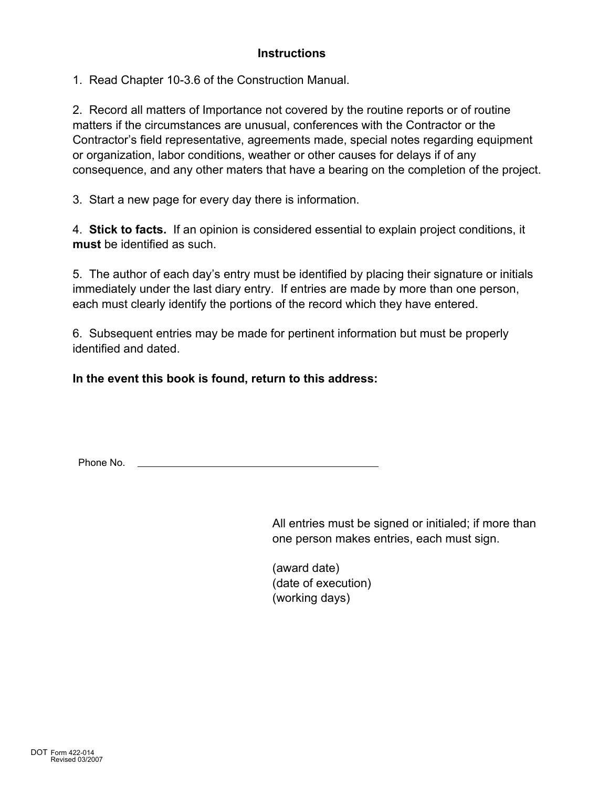1. Read Chapter 10-3.6 of the Construction Manual.

2. Record all matters of Importance not covered by the routine reports or of routine matters if the circumstances are unusual, conferences with the Contractor or the Contractor's field representative, agreements made, special notes regarding equipment or organization, labor conditions, weather or other causes for delays if of any consequence, and any other maters that have a bearing on the completion of the project.

3. Start a new page for every day there is information.

4. **Stick to facts.** If an opinion is considered essential to explain project conditions, it **must** be identified as such.

5. The author of each day's entry must be identified by placing their signature or initials immediately under the last diary entry. If entries are made by more than one person, each must clearly identify the portions of the record which they have entered.

6. Subsequent entries may be made for pertinent information but must be properly identified and dated.

**In the event this book is found, return to this address:**

Phone No.

All entries must be signed or initialed; if more than one person makes entries, each must sign.

(award date) (date of execution) (working days)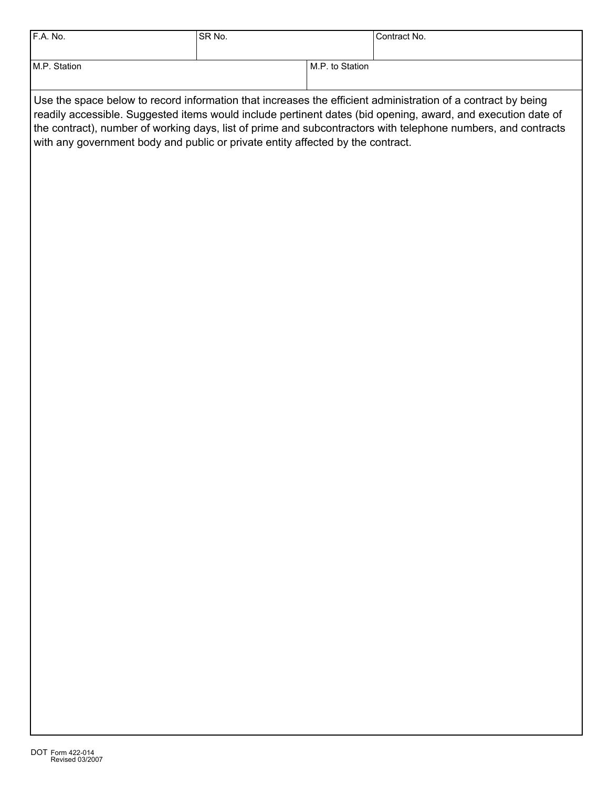| F.A. No.                                                                                                                                                                                                                     | SR No. |                 | Contract No. |  |  |  |
|------------------------------------------------------------------------------------------------------------------------------------------------------------------------------------------------------------------------------|--------|-----------------|--------------|--|--|--|
|                                                                                                                                                                                                                              |        |                 |              |  |  |  |
| M.P. Station                                                                                                                                                                                                                 |        | M.P. to Station |              |  |  |  |
|                                                                                                                                                                                                                              |        |                 |              |  |  |  |
| Use the space below to record information that increases the efficient administration of a contract by being<br>readily accessible. Suggested items would include pertinent dates (bid opening, award, and execution date of |        |                 |              |  |  |  |
| the contract), number of working days, list of prime and subcontractors with telephone numbers, and contracts                                                                                                                |        |                 |              |  |  |  |

with any government body and public or private entity affected by the contract.